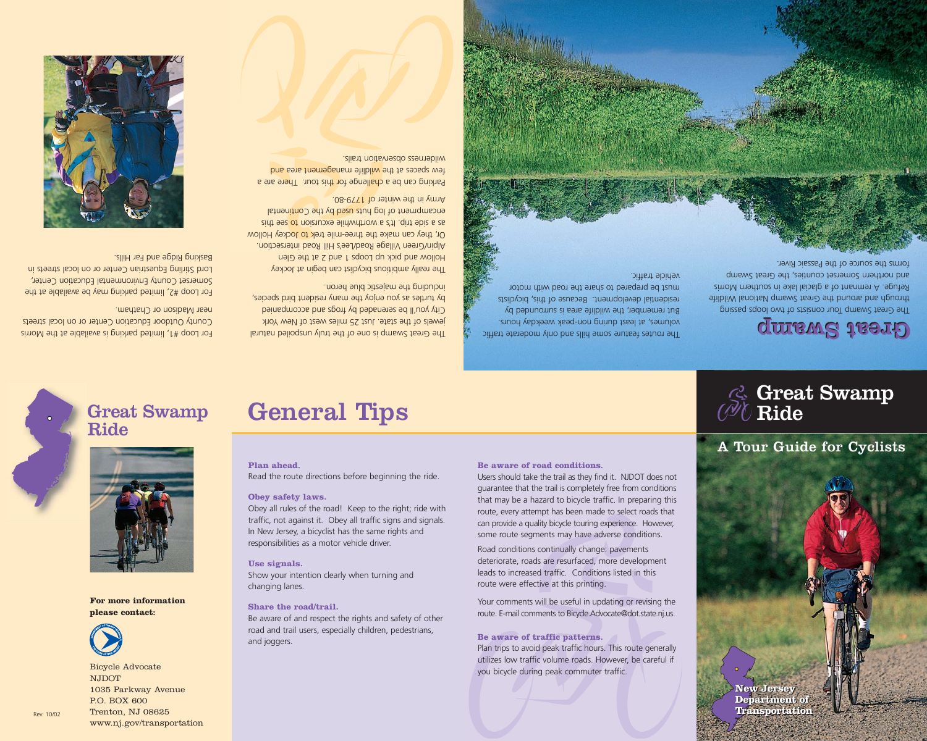### Great Swamp Ride

## General Tips



**For more information please contact:**



Bicycle Advocate NJDOT 1035 Parkway Avenue P.O. BOX 600 Trenton, NJ 08625 www.nj.gov/transportation

#### **Plan ahead.** Read the route directions before beginning the ride.

#### **Obey safety laws.**

Obey all rules of the road! Keep to the right; ride with traffic, not against it. Obey all traffic signs and signals. In New Jersey, a bicyclist has the same rights and responsibilities as a motor vehicle driver.

#### **Use signals.**

Show your intention clearly when turning and changing lanes.

#### **Share the road/trail.**

Be aware of and respect the rights and safety of other road and trail users, especially children, pedestrians, and joggers.

#### **Be aware of road conditions.**

Users should take the trail as they find it. NJDOT does not guarantee that the trail is completely free from conditions that may be a hazard to bicycle traffic. In preparing this route, every attempt has been made to select roads that can provide a quality bicycle touring experience. However, some route segments may have adverse conditions.

Road conditions continually change: pavements deteriorate, roads are resurfaced, more development leads to increased traffic. Conditions listed in this route were effective at this printing.

Your comments will be useful in updating or revising the route. E-mail comments to Bicycle.Advocate@dot.state.nj.us.

#### **Be aware of traffic patterns.**

Plan trips to avoid peak traffic hours. This route generally utilizes low traffic volume roads. However, be careful if you bicycle during peak commuter traffic.

### A Tour Guide for Cyclists

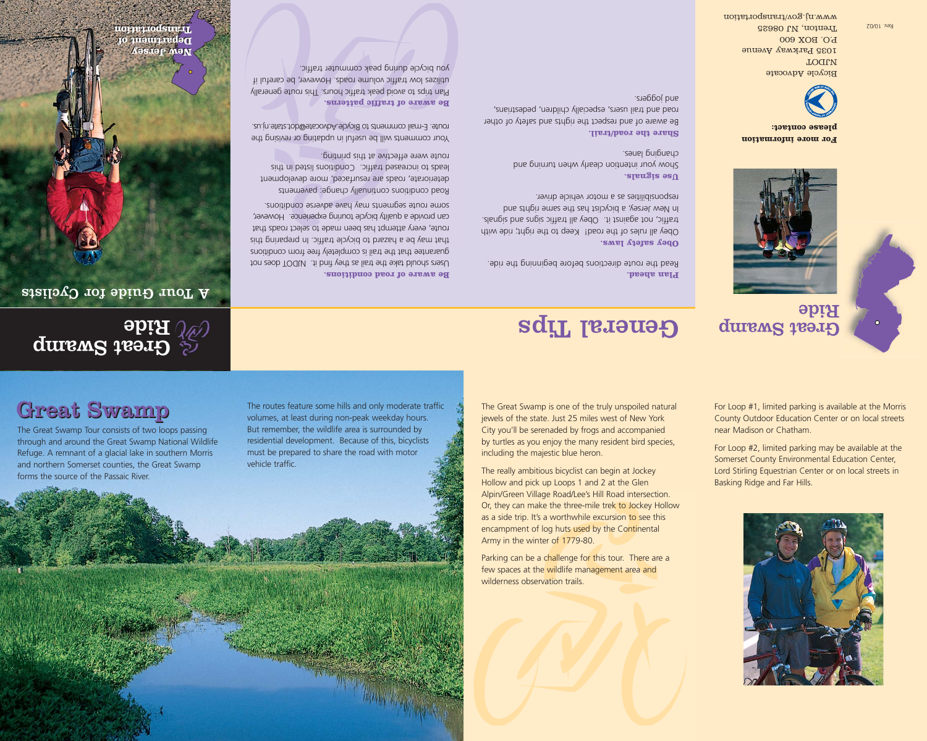### Great Swamp Great Swamp

The Great Swamp Tour consists of two loops passing through and around the Great Swamp National Wildlife Refuge. A remnant of a glacial lake in southern Morris and northern Somerset counties, the Great Swamp forms the source of the Passaic River.

The routes feature some hills and only moderate traffic volumes, at least during non-peak weekday hours. But remember, the wildlife area is surrounded by residential development. Because of this, bicyclists must be prepared to share the road with motor vehicle traffic.

The Great Swamp is one of the truly unspoiled natural jewels of the state. Just 25 miles west of New York City you'll be serenaded by frogs and accompanied by turtles as you enjoy the many resident bird species, including the majestic blue heron.

The really ambitious bicyclist can begin at Jockey Hollow and pick up Loops 1 and 2 at the Glen Alpin/Green Village Road/Lee's Hill Road intersection. Or, they can make the three-mile trek to Jockey Hollow as a side trip. It's a worthwhile excursion to see this encampment of log huts used by the Continental Army in the winter of 1779-80.

Parking can be a challenge for this tour. There are a few spaces at the wildlife management area and wilderness observation trails.

For Loop #1, limited parking is available at the Morris County Outdoor Education Center or on local streets near Madison or Chatham.

For Loop #2, limited parking may be available at the Somerset County Environmental Education Center, Lord Stirling Equestrian Center or on local streets in Basking Ridge and Far Hills.